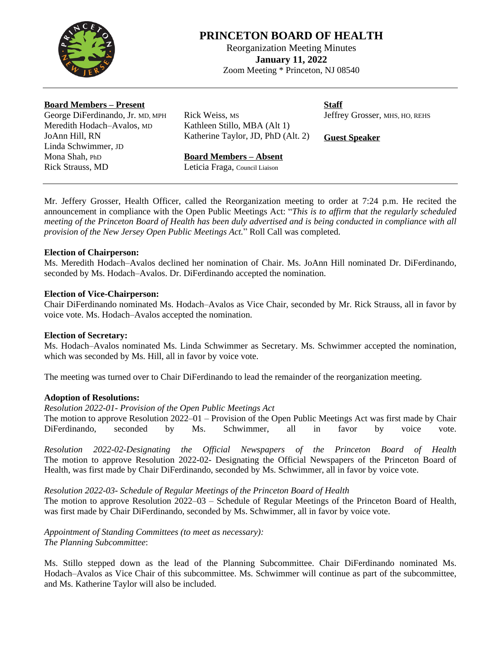

# **PRINCETON BOARD OF HEALTH**

Reorganization Meeting Minutes **January 11, 2022** Zoom Meeting \* Princeton, NJ 08540

### **Board Members – Present**

George DiFerdinando, Jr. MD, MPH Meredith Hodach–Avalos, MD JoAnn Hill, RN Linda Schwimmer, JD Mona Shah, PhD Rick Strauss, MD

Rick Weiss, MS Kathleen Stillo, MBA (Alt 1) Katherine Taylor, JD, PhD (Alt. 2) **Staff** Jeffrey Grosser, MHS, HO, REHS

**Guest Speaker**

### **Board Members – Absent**

Leticia Fraga, Council Liaison

Mr. Jeffery Grosser, Health Officer, called the Reorganization meeting to order at 7:24 p.m. He recited the announcement in compliance with the Open Public Meetings Act: "*This is to affirm that the regularly scheduled* meeting of the Princeton Board of Health has been duly advertised and is being conducted in compliance with all *provision of the New Jersey Open Public Meetings Act.*" Roll Call was completed.

### **Election of Chairperson:**

Ms. Meredith Hodach–Avalos declined her nomination of Chair. Ms. JoAnn Hill nominated Dr. DiFerdinando, seconded by Ms. Hodach–Avalos. Dr. DiFerdinando accepted the nomination.

### **Election of Vice-Chairperson:**

Chair DiFerdinando nominated Ms. Hodach–Avalos as Vice Chair, seconded by Mr. Rick Strauss, all in favor by voice vote. Ms. Hodach–Avalos accepted the nomination.

### **Election of Secretary:**

Ms. Hodach–Avalos nominated Ms. Linda Schwimmer as Secretary. Ms. Schwimmer accepted the nomination, which was seconded by Ms. Hill, all in favor by voice vote.

The meeting was turned over to Chair DiFerdinando to lead the remainder of the reorganization meeting.

### **Adoption of Resolutions:**

#### *Resolution 2022-01- Provision of the Open Public Meetings Act*

The motion to approve Resolution 2022–01 – Provision of the Open Public Meetings Act was first made by Chair DiFerdinando, seconded by Ms. Schwimmer, all in favor by voice vote.

*Resolution 2022-02-Designating the Official Newspapers of the Princeton Board of Health* The motion to approve Resolution 2022-02- Designating the Official Newspapers of the Princeton Board of Health, was first made by Chair DiFerdinando, seconded by Ms. Schwimmer, all in favor by voice vote.

### *Resolution 2022-03- Schedule of Regular Meetings of the Princeton Board of Health*

The motion to approve Resolution 2022–03 – Schedule of Regular Meetings of the Princeton Board of Health, was first made by Chair DiFerdinando, seconded by Ms. Schwimmer, all in favor by voice vote.

*Appointment of Standing Committees (to meet as necessary): The Planning Subcommittee*:

Ms. Stillo stepped down as the lead of the Planning Subcommittee. Chair DiFerdinando nominated Ms. Hodach–Avalos as Vice Chair of this subcommittee. Ms. Schwimmer will continue as part of the subcommittee, and Ms. Katherine Taylor will also be included.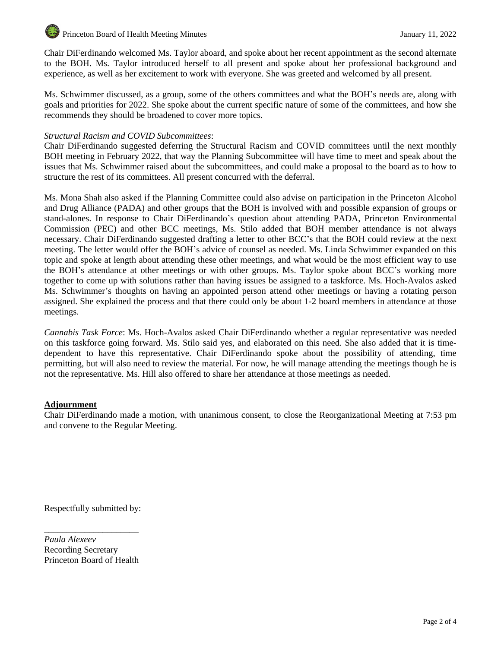Chair DiFerdinando welcomed Ms. Taylor aboard, and spoke about her recent appointment as the second alternate to the BOH. Ms. Taylor introduced herself to all present and spoke about her professional background and experience, as well as her excitement to work with everyone. She was greeted and welcomed by all present.

Ms. Schwimmer discussed, as a group, some of the others committees and what the BOH's needs are, along with goals and priorities for 2022. She spoke about the current specific nature of some of the committees, and how she recommends they should be broadened to cover more topics.

### *Structural Racism and COVID Subcommittees*:

Chair DiFerdinando suggested deferring the Structural Racism and COVID committees until the next monthly BOH meeting in February 2022, that way the Planning Subcommittee will have time to meet and speak about the issues that Ms. Schwimmer raised about the subcommittees, and could make a proposal to the board as to how to structure the rest of its committees. All present concurred with the deferral.

Ms. Mona Shah also asked if the Planning Committee could also advise on participation in the Princeton Alcohol and Drug Alliance (PADA) and other groups that the BOH is involved with and possible expansion of groups or stand-alones. In response to Chair DiFerdinando's question about attending PADA, Princeton Environmental Commission (PEC) and other BCC meetings, Ms. Stilo added that BOH member attendance is not always necessary. Chair DiFerdinando suggested drafting a letter to other BCC's that the BOH could review at the next meeting. The letter would offer the BOH's advice of counsel as needed. Ms. Linda Schwimmer expanded on this topic and spoke at length about attending these other meetings, and what would be the most efficient way to use the BOH's attendance at other meetings or with other groups. Ms. Taylor spoke about BCC's working more together to come up with solutions rather than having issues be assigned to a taskforce. Ms. Hoch-Avalos asked Ms. Schwimmer's thoughts on having an appointed person attend other meetings or having a rotating person assigned. She explained the process and that there could only be about 1-2 board members in attendance at those meetings.

*Cannabis Task Force*: Ms. Hoch-Avalos asked Chair DiFerdinando whether a regular representative was needed on this taskforce going forward. Ms. Stilo said yes, and elaborated on this need. She also added that it is timedependent to have this representative. Chair DiFerdinando spoke about the possibility of attending, time permitting, but will also need to review the material. For now, he will manage attending the meetings though he is not the representative. Ms. Hill also offered to share her attendance at those meetings as needed.

### **Adjournment**

Chair DiFerdinando made a motion, with unanimous consent, to close the Reorganizational Meeting at 7:53 pm and convene to the Regular Meeting.

Respectfully submitted by:

*Paula Alexeev* Recording Secretary Princeton Board of Health

\_\_\_\_\_\_\_\_\_\_\_\_\_\_\_\_\_\_\_\_\_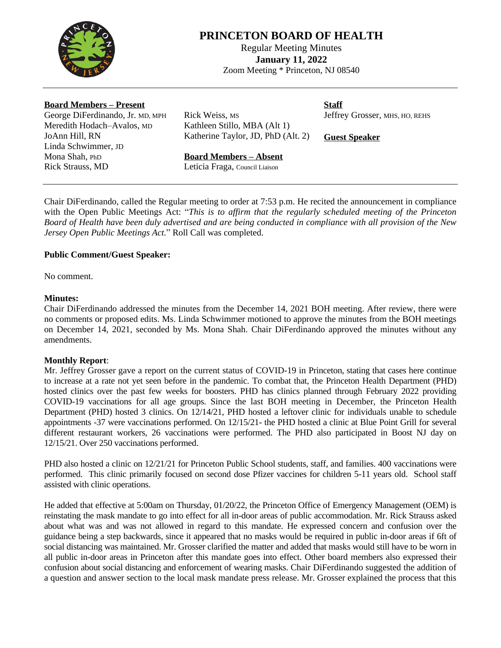

# **PRINCETON BOARD OF HEALTH**

Regular Meeting Minutes **January 11, 2022** Zoom Meeting \* Princeton, NJ 08540

### **Board Members – Present**

George DiFerdinando, Jr. MD, MPH Meredith Hodach–Avalos, MD JoAnn Hill, RN Linda Schwimmer, JD Mona Shah, PhD Rick Strauss, MD

Rick Weiss, MS Kathleen Stillo, MBA (Alt 1) Katherine Taylor, JD, PhD (Alt. 2) **Staff**

Jeffrey Grosser, MHS, HO, REHS

**Guest Speaker**

### **Board Members – Absent**

Leticia Fraga, Council Liaison

Chair DiFerdinando, called the Regular meeting to order at 7:53 p.m. He recited the announcement in compliance with the Open Public Meetings Act: "*This is to affirm that the regularly scheduled meeting of the Princeton* Board of Health have been duly advertised and are being conducted in compliance with all provision of the New *Jersey Open Public Meetings Act.*" Roll Call was completed.

### **Public Comment/Guest Speaker:**

No comment.

### **Minutes:**

Chair DiFerdinando addressed the minutes from the December 14, 2021 BOH meeting. After review, there were no comments or proposed edits. Ms. Linda Schwimmer motioned to approve the minutes from the BOH meetings on December 14, 2021, seconded by Ms. Mona Shah. Chair DiFerdinando approved the minutes without any amendments.

### **Monthly Report**:

Mr. Jeffrey Grosser gave a report on the current status of COVID-19 in Princeton, stating that cases here continue to increase at a rate not yet seen before in the pandemic. To combat that, the Princeton Health Department (PHD) hosted clinics over the past few weeks for boosters. PHD has clinics planned through February 2022 providing COVID-19 vaccinations for all age groups. Since the last BOH meeting in December, the Princeton Health Department (PHD) hosted 3 clinics. On 12/14/21, PHD hosted a leftover clinic for individuals unable to schedule appointments -37 were vaccinations performed. On 12/15/21- the PHD hosted a clinic at Blue Point Grill for several different restaurant workers, 26 vaccinations were performed. The PHD also participated in Boost NJ day on 12/15/21. Over 250 vaccinations performed.

PHD also hosted a clinic on 12/21/21 for Princeton Public School students, staff, and families. 400 vaccinations were performed. This clinic primarily focused on second dose Pfizer vaccines for children 5-11 years old. School staff assisted with clinic operations.

He added that effective at 5:00am on Thursday, 01/20/22, the Princeton Office of Emergency Management (OEM) is reinstating the mask mandate to go into effect for all in-door areas of public accommodation. Mr. Rick Strauss asked about what was and was not allowed in regard to this mandate. He expressed concern and confusion over the guidance being a step backwards, since it appeared that no masks would be required in public in-door areas if 6ft of social distancing was maintained. Mr. Grosser clarified the matter and added that masks would still have to be worn in all public in-door areas in Princeton after this mandate goes into effect. Other board members also expressed their confusion about social distancing and enforcement of wearing masks. Chair DiFerdinando suggested the addition of a question and answer section to the local mask mandate press release. Mr. Grosser explained the process that this